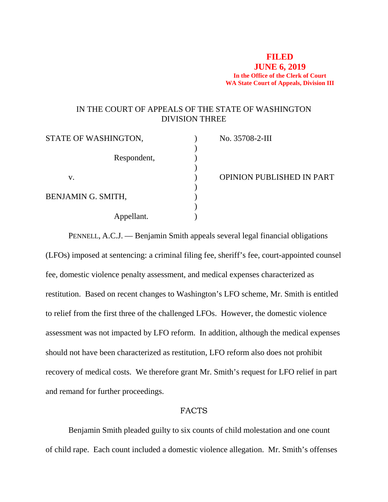## **FILED JUNE 6, 2019 In the Office of the Clerk of Court WA State Court of Appeals, Division III**

# IN THE COURT OF APPEALS OF THE STATE OF WASHINGTON DIVISION THREE

| STATE OF WASHINGTON, | No. 35708-2-III                  |
|----------------------|----------------------------------|
| Respondent,          |                                  |
| v.                   | <b>OPINION PUBLISHED IN PART</b> |
| BENJAMIN G. SMITH,   |                                  |
| Appellant.           |                                  |

PENNELL, A.C.J. — Benjamin Smith appeals several legal financial obligations (LFOs) imposed at sentencing: a criminal filing fee, sheriff's fee, court-appointed counsel fee, domestic violence penalty assessment, and medical expenses characterized as restitution. Based on recent changes to Washington's LFO scheme, Mr. Smith is entitled to relief from the first three of the challenged LFOs. However, the domestic violence assessment was not impacted by LFO reform. In addition, although the medical expenses should not have been characterized as restitution, LFO reform also does not prohibit recovery of medical costs. We therefore grant Mr. Smith's request for LFO relief in part and remand for further proceedings.

## FACTS

Benjamin Smith pleaded guilty to six counts of child molestation and one count of child rape. Each count included a domestic violence allegation. Mr. Smith's offenses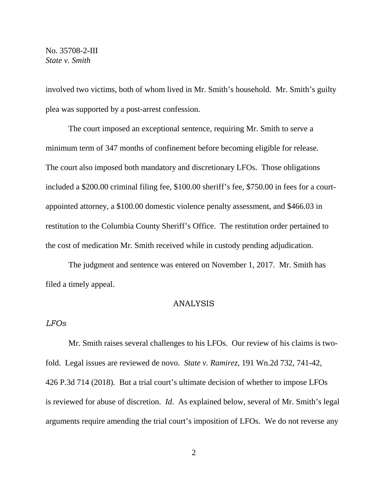involved two victims, both of whom lived in Mr. Smith's household. Mr. Smith's guilty plea was supported by a post-arrest confession.

The court imposed an exceptional sentence, requiring Mr. Smith to serve a minimum term of 347 months of confinement before becoming eligible for release. The court also imposed both mandatory and discretionary LFOs. Those obligations included a \$200.00 criminal filing fee, \$100.00 sheriff's fee, \$750.00 in fees for a courtappointed attorney, a \$100.00 domestic violence penalty assessment, and \$466.03 in restitution to the Columbia County Sheriff's Office. The restitution order pertained to the cost of medication Mr. Smith received while in custody pending adjudication.

The judgment and sentence was entered on November 1, 2017. Mr. Smith has filed a timely appeal.

## ANALYSIS

### *LFOs*

Mr. Smith raises several challenges to his LFOs. Our review of his claims is twofold. Legal issues are reviewed de novo. *State v. Ramirez*, 191 Wn.2d 732, 741-42, 426 P.3d 714 (2018). But a trial court's ultimate decision of whether to impose LFOs is reviewed for abuse of discretion. *Id*. As explained below, several of Mr. Smith's legal arguments require amending the trial court's imposition of LFOs. We do not reverse any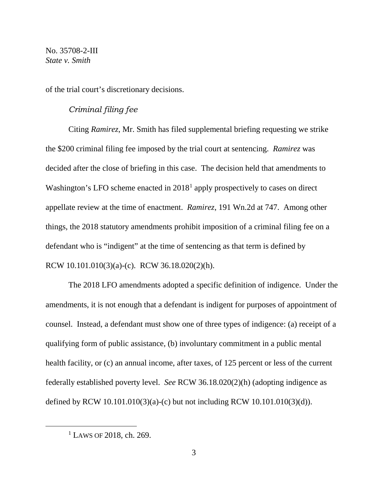of the trial court's discretionary decisions.

### *Criminal filing fee*

Citing *Ramirez*, Mr. Smith has filed supplemental briefing requesting we strike the \$200 criminal filing fee imposed by the trial court at sentencing. *Ramirez* was decided after the close of briefing in this case. The decision held that amendments to Washington's LFO scheme enacted in 20[1](#page-2-0)8<sup>1</sup> apply prospectively to cases on direct appellate review at the time of enactment. *Ramirez*, 191 Wn.2d at 747. Among other things, the 2018 statutory amendments prohibit imposition of a criminal filing fee on a defendant who is "indigent" at the time of sentencing as that term is defined by RCW 10.101.010(3)(a)-(c). RCW 36.18.020(2)(h).

The 2018 LFO amendments adopted a specific definition of indigence. Under the amendments, it is not enough that a defendant is indigent for purposes of appointment of counsel. Instead, a defendant must show one of three types of indigence: (a) receipt of a qualifying form of public assistance, (b) involuntary commitment in a public mental health facility, or (c) an annual income, after taxes, of 125 percent or less of the current federally established poverty level. *See* RCW 36.18.020(2)(h) (adopting indigence as defined by RCW 10.101.010(3)(a)-(c) but not including RCW 10.101.010(3)(d)).

<span id="page-2-0"></span> $1$  LAWS OF 2018, ch. 269.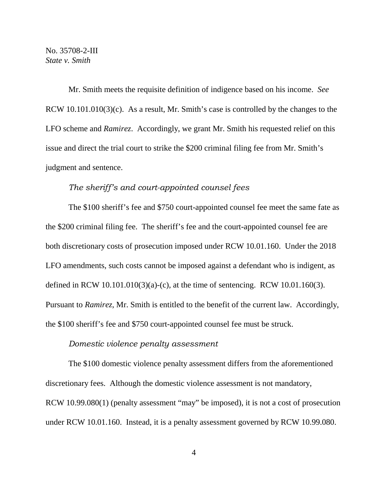Mr. Smith meets the requisite definition of indigence based on his income. *See*  RCW 10.101.010(3)(c). As a result, Mr. Smith's case is controlled by the changes to the LFO scheme and *Ramirez*. Accordingly, we grant Mr. Smith his requested relief on this issue and direct the trial court to strike the \$200 criminal filing fee from Mr. Smith's judgment and sentence.

### *The sheriff's and court-appointed counsel fees*

The \$100 sheriff's fee and \$750 court-appointed counsel fee meet the same fate as the \$200 criminal filing fee. The sheriff's fee and the court-appointed counsel fee are both discretionary costs of prosecution imposed under RCW 10.01.160. Under the 2018 LFO amendments, such costs cannot be imposed against a defendant who is indigent, as defined in RCW 10.101.010(3)(a)-(c), at the time of sentencing. RCW 10.01.160(3). Pursuant to *Ramirez*, Mr. Smith is entitled to the benefit of the current law. Accordingly, the \$100 sheriff's fee and \$750 court-appointed counsel fee must be struck.

### *Domestic violence penalty assessment*

The \$100 domestic violence penalty assessment differs from the aforementioned discretionary fees. Although the domestic violence assessment is not mandatory, RCW 10.99.080(1) (penalty assessment "may" be imposed), it is not a cost of prosecution under RCW 10.01.160. Instead, it is a penalty assessment governed by RCW 10.99.080.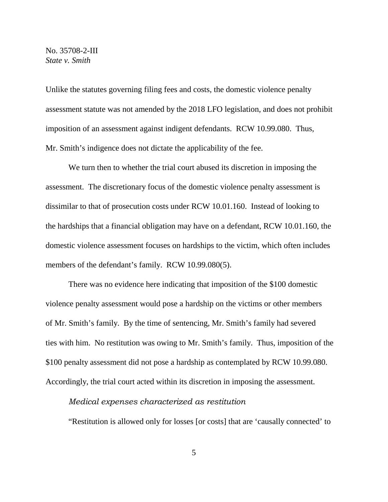Unlike the statutes governing filing fees and costs, the domestic violence penalty assessment statute was not amended by the 2018 LFO legislation, and does not prohibit imposition of an assessment against indigent defendants. RCW 10.99.080. Thus, Mr. Smith's indigence does not dictate the applicability of the fee.

We turn then to whether the trial court abused its discretion in imposing the assessment. The discretionary focus of the domestic violence penalty assessment is dissimilar to that of prosecution costs under RCW 10.01.160. Instead of looking to the hardships that a financial obligation may have on a defendant, RCW 10.01.160, the domestic violence assessment focuses on hardships to the victim, which often includes members of the defendant's family. RCW 10.99.080(5).

There was no evidence here indicating that imposition of the \$100 domestic violence penalty assessment would pose a hardship on the victims or other members of Mr. Smith's family. By the time of sentencing, Mr. Smith's family had severed ties with him. No restitution was owing to Mr. Smith's family. Thus, imposition of the \$100 penalty assessment did not pose a hardship as contemplated by RCW 10.99.080. Accordingly, the trial court acted within its discretion in imposing the assessment.

#### *Medical expenses characterized as restitution*

"Restitution is allowed only for losses [or costs] that are 'causally connected' to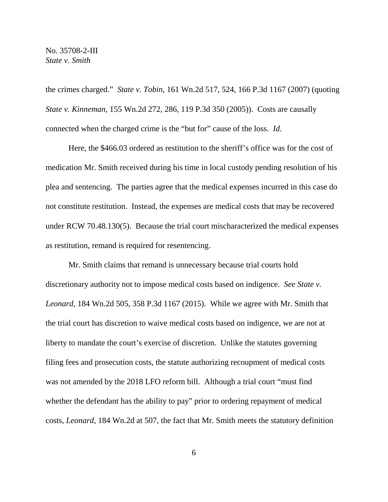the crimes charged." *State v. Tobin*, 161 Wn.2d 517, 524, 166 P.3d 1167 (2007) (quoting *State v. Kinneman*, 155 Wn.2d 272, 286, 119 P.3d 350 (2005)). Costs are causally connected when the charged crime is the "but for" cause of the loss. *Id*.

Here, the \$466.03 ordered as restitution to the sheriff's office was for the cost of medication Mr. Smith received during his time in local custody pending resolution of his plea and sentencing. The parties agree that the medical expenses incurred in this case do not constitute restitution. Instead, the expenses are medical costs that may be recovered under RCW 70.48.130(5). Because the trial court mischaracterized the medical expenses as restitution, remand is required for resentencing.

Mr. Smith claims that remand is unnecessary because trial courts hold discretionary authority not to impose medical costs based on indigence. *See State v. Leonard*, 184 Wn.2d 505, 358 P.3d 1167 (2015). While we agree with Mr. Smith that the trial court has discretion to waive medical costs based on indigence, we are not at liberty to mandate the court's exercise of discretion. Unlike the statutes governing filing fees and prosecution costs, the statute authorizing recoupment of medical costs was not amended by the 2018 LFO reform bill. Although a trial court "must find whether the defendant has the ability to pay" prior to ordering repayment of medical costs, *Leonard*, 184 Wn.2d at 507, the fact that Mr. Smith meets the statutory definition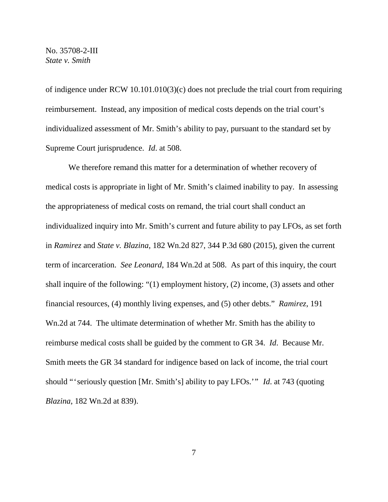of indigence under RCW 10.101.010(3)(c) does not preclude the trial court from requiring reimbursement. Instead, any imposition of medical costs depends on the trial court's individualized assessment of Mr. Smith's ability to pay, pursuant to the standard set by Supreme Court jurisprudence. *Id*. at 508.

We therefore remand this matter for a determination of whether recovery of medical costs is appropriate in light of Mr. Smith's claimed inability to pay. In assessing the appropriateness of medical costs on remand, the trial court shall conduct an individualized inquiry into Mr. Smith's current and future ability to pay LFOs, as set forth in *Ramirez* and *State v. Blazina*, 182 Wn.2d 827, 344 P.3d 680 (2015), given the current term of incarceration. *See Leonard*, 184 Wn.2d at 508. As part of this inquiry, the court shall inquire of the following: "(1) employment history, (2) income, (3) assets and other financial resources, (4) monthly living expenses, and (5) other debts." *Ramirez*, 191 Wn.2d at 744. The ultimate determination of whether Mr. Smith has the ability to reimburse medical costs shall be guided by the comment to GR 34. *Id*. Because Mr. Smith meets the GR 34 standard for indigence based on lack of income, the trial court should "'seriously question [Mr. Smith's] ability to pay LFOs.'" *Id*. at 743 (quoting *Blazina*, 182 Wn.2d at 839).

7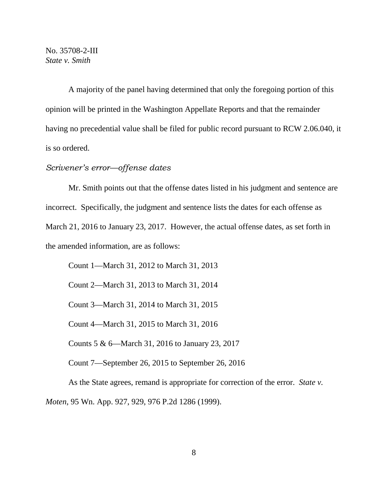A majority of the panel having determined that only the foregoing portion of this opinion will be printed in the Washington Appellate Reports and that the remainder having no precedential value shall be filed for public record pursuant to RCW 2.06.040, it is so ordered.

# *Scrivener's error—offense dates*

Mr. Smith points out that the offense dates listed in his judgment and sentence are incorrect. Specifically, the judgment and sentence lists the dates for each offense as March 21, 2016 to January 23, 2017. However, the actual offense dates, as set forth in the amended information, are as follows:

Count 1—March 31, 2012 to March 31, 2013 Count 2—March 31, 2013 to March 31, 2014 Count 3—March 31, 2014 to March 31, 2015 Count 4—March 31, 2015 to March 31, 2016 Counts 5 & 6—March 31, 2016 to January 23, 2017 Count 7—September 26, 2015 to September 26, 2016

As the State agrees, remand is appropriate for correction of the error. *State v.* 

*Moten*, 95 Wn. App. 927, 929, 976 P.2d 1286 (1999).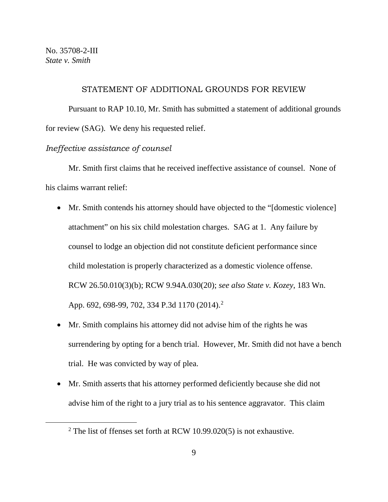### STATEMENT OF ADDITIONAL GROUNDS FOR REVIEW

Pursuant to RAP 10.10, Mr. Smith has submitted a statement of additional grounds for review (SAG). We deny his requested relief.

# *Ineffective assistance of counsel*

Mr. Smith first claims that he received ineffective assistance of counsel. None of his claims warrant relief:

- Mr. Smith contends his attorney should have objected to the "[domestic violence] attachment" on his six child molestation charges. SAG at 1. Any failure by counsel to lodge an objection did not constitute deficient performance since child molestation is properly characterized as a domestic violence offense. RCW 26.50.010(3)(b); RCW 9.94A.030(20); *see also State v. Kozey*, 183 Wn. App. 69[2](#page-8-0), 698-99, 702, 334 P.3d 1170 (2014).<sup>2</sup>
- Mr. Smith complains his attorney did not advise him of the rights he was surrendering by opting for a bench trial. However, Mr. Smith did not have a bench trial. He was convicted by way of plea.
- Mr. Smith asserts that his attorney performed deficiently because she did not advise him of the right to a jury trial as to his sentence aggravator. This claim

<span id="page-8-0"></span><sup>&</sup>lt;sup>2</sup> The list of ffenses set forth at RCW 10.99.020(5) is not exhaustive.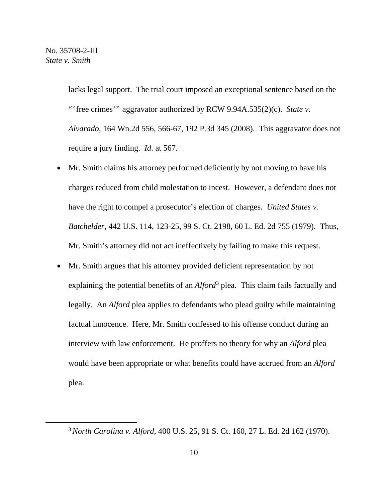lacks legal support. The trial court imposed an exceptional sentence based on the "'free crimes'" aggravator authorized by RCW 9.94A.535(2)(c). *State v*. *Alvarado*, 164 Wn.2d 556, 566-67, 192 P.3d 345 (2008). This aggravator does not require a jury finding. *Id*. at 567.

- Mr. Smith claims his attorney performed deficiently by not moving to have his charges reduced from child molestation to incest. However, a defendant does not have the right to compel a prosecutor's election of charges. *United States v. Batchelder*, 442 U.S. 114, 123-25, 99 S. Ct. 2198, 60 L. Ed. 2d 755 (1979). Thus, Mr. Smith's attorney did not act ineffectively by failing to make this request.
- Mr. Smith argues that his attorney provided deficient representation by not explaining the potential benefits of an *Alford*<sup>[3](#page-9-0)</sup> plea. This claim fails factually and legally. An *Alford* plea applies to defendants who plead guilty while maintaining factual innocence. Here, Mr. Smith confessed to his offense conduct during an interview with law enforcement. He proffers no theory for why an *Alford* plea would have been appropriate or what benefits could have accrued from an *Alford* plea.

<span id="page-9-0"></span><sup>3</sup>*North Carolina v. Alford*, 400 U.S. 25, 91 S. Ct. 160, 27 L. Ed. 2d 162 (1970).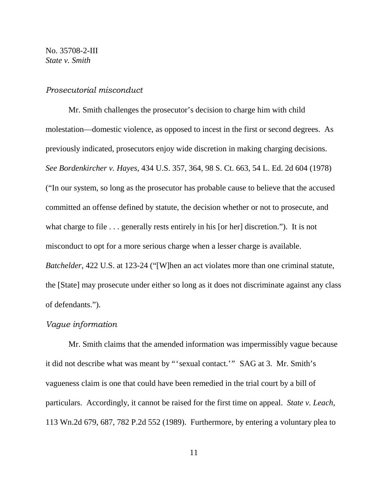## *Prosecutorial misconduct*

Mr. Smith challenges the prosecutor's decision to charge him with child molestation—domestic violence, as opposed to incest in the first or second degrees. As previously indicated, prosecutors enjoy wide discretion in making charging decisions. *See Bordenkircher v. Hayes*, 434 U.S. 357, 364, 98 S. Ct. 663, 54 L. Ed. 2d 604 (1978) ("In our system, so long as the prosecutor has probable cause to believe that the accused committed an offense defined by statute, the decision whether or not to prosecute, and what charge to file . . . generally rests entirely in his [or her] discretion."). It is not misconduct to opt for a more serious charge when a lesser charge is available. *Batchelder*, 422 U.S. at 123-24 ("[W]hen an act violates more than one criminal statute, the [State] may prosecute under either so long as it does not discriminate against any class of defendants.").

#### *Vague information*

Mr. Smith claims that the amended information was impermissibly vague because it did not describe what was meant by "'sexual contact.'" SAG at 3. Mr. Smith's vagueness claim is one that could have been remedied in the trial court by a bill of particulars. Accordingly, it cannot be raised for the first time on appeal. *State v. Leach*, 113 Wn.2d 679, 687, 782 P.2d 552 (1989). Furthermore, by entering a voluntary plea to